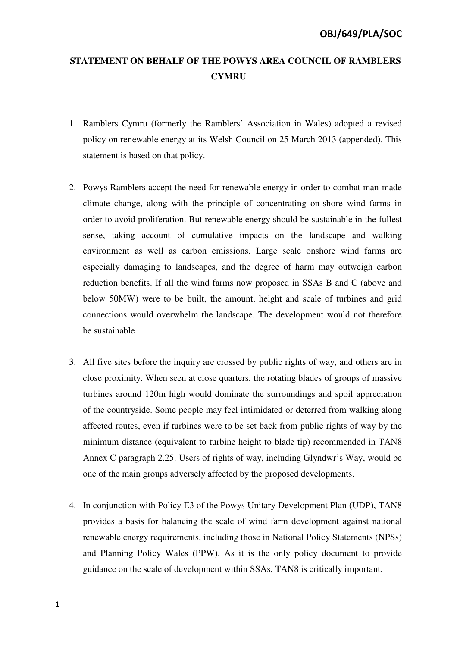## **STATEMENT ON BEHALF OF THE POWYS AREA COUNCIL OF RAMBLERS CYMRU**

- 1. Ramblers Cymru (formerly the Ramblers' Association in Wales) adopted a revised policy on renewable energy at its Welsh Council on 25 March 2013 (appended). This statement is based on that policy.
- 2. Powys Ramblers accept the need for renewable energy in order to combat man-made climate change, along with the principle of concentrating on-shore wind farms in order to avoid proliferation. But renewable energy should be sustainable in the fullest sense, taking account of cumulative impacts on the landscape and walking environment as well as carbon emissions. Large scale onshore wind farms are especially damaging to landscapes, and the degree of harm may outweigh carbon reduction benefits. If all the wind farms now proposed in SSAs B and C (above and below 50MW) were to be built, the amount, height and scale of turbines and grid connections would overwhelm the landscape. The development would not therefore be sustainable.
- 3. All five sites before the inquiry are crossed by public rights of way, and others are in close proximity. When seen at close quarters, the rotating blades of groups of massive turbines around 120m high would dominate the surroundings and spoil appreciation of the countryside. Some people may feel intimidated or deterred from walking along affected routes, even if turbines were to be set back from public rights of way by the minimum distance (equivalent to turbine height to blade tip) recommended in TAN8 Annex C paragraph 2.25. Users of rights of way, including Glyndwr's Way, would be one of the main groups adversely affected by the proposed developments.
- 4. In conjunction with Policy E3 of the Powys Unitary Development Plan (UDP), TAN8 provides a basis for balancing the scale of wind farm development against national renewable energy requirements, including those in National Policy Statements (NPSs) and Planning Policy Wales (PPW). As it is the only policy document to provide guidance on the scale of development within SSAs, TAN8 is critically important.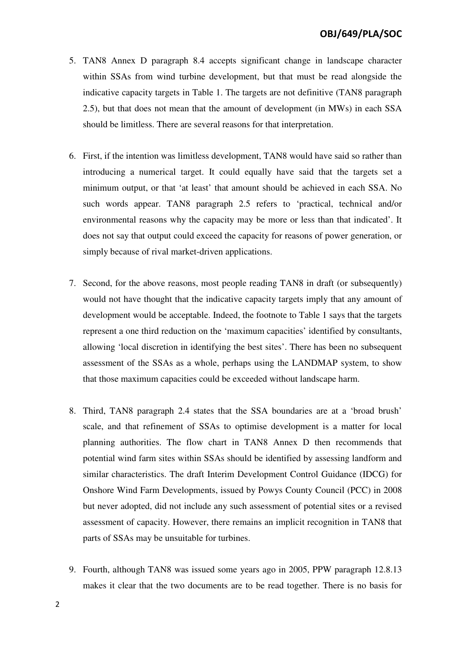- 5. TAN8 Annex D paragraph 8.4 accepts significant change in landscape character within SSAs from wind turbine development, but that must be read alongside the indicative capacity targets in Table 1. The targets are not definitive (TAN8 paragraph 2.5), but that does not mean that the amount of development (in MWs) in each SSA should be limitless. There are several reasons for that interpretation.
- 6. First, if the intention was limitless development, TAN8 would have said so rather than introducing a numerical target. It could equally have said that the targets set a minimum output, or that 'at least' that amount should be achieved in each SSA. No such words appear. TAN8 paragraph 2.5 refers to 'practical, technical and/or environmental reasons why the capacity may be more or less than that indicated'. It does not say that output could exceed the capacity for reasons of power generation, or simply because of rival market-driven applications.
- 7. Second, for the above reasons, most people reading TAN8 in draft (or subsequently) would not have thought that the indicative capacity targets imply that any amount of development would be acceptable. Indeed, the footnote to Table 1 says that the targets represent a one third reduction on the 'maximum capacities' identified by consultants, allowing 'local discretion in identifying the best sites'. There has been no subsequent assessment of the SSAs as a whole, perhaps using the LANDMAP system, to show that those maximum capacities could be exceeded without landscape harm.
- 8. Third, TAN8 paragraph 2.4 states that the SSA boundaries are at a 'broad brush' scale, and that refinement of SSAs to optimise development is a matter for local planning authorities. The flow chart in TAN8 Annex D then recommends that potential wind farm sites within SSAs should be identified by assessing landform and similar characteristics. The draft Interim Development Control Guidance (IDCG) for Onshore Wind Farm Developments, issued by Powys County Council (PCC) in 2008 but never adopted, did not include any such assessment of potential sites or a revised assessment of capacity. However, there remains an implicit recognition in TAN8 that parts of SSAs may be unsuitable for turbines.
- 9. Fourth, although TAN8 was issued some years ago in 2005, PPW paragraph 12.8.13 makes it clear that the two documents are to be read together. There is no basis for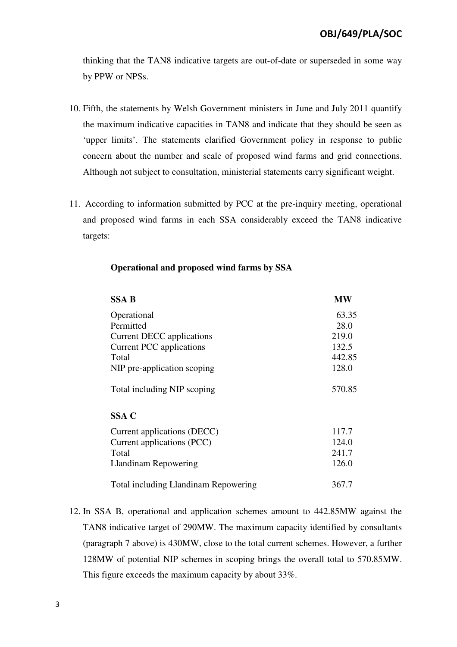thinking that the TAN8 indicative targets are out-of-date or superseded in some way by PPW or NPSs.

- 10. Fifth, the statements by Welsh Government ministers in June and July 2011 quantify the maximum indicative capacities in TAN8 and indicate that they should be seen as 'upper limits'. The statements clarified Government policy in response to public concern about the number and scale of proposed wind farms and grid connections. Although not subject to consultation, ministerial statements carry significant weight.
- 11. According to information submitted by PCC at the pre-inquiry meeting, operational and proposed wind farms in each SSA considerably exceed the TAN8 indicative targets:

| <b>SSA B</b>                                | <b>MW</b> |
|---------------------------------------------|-----------|
| Operational                                 | 63.35     |
| Permitted                                   | 28.0      |
| Current DECC applications                   | 219.0     |
| <b>Current PCC</b> applications             | 132.5     |
| Total                                       | 442.85    |
| NIP pre-application scoping                 | 128.0     |
| Total including NIP scoping                 | 570.85    |
| SSA C                                       |           |
| Current applications (DECC)                 | 117.7     |
| Current applications (PCC)                  | 124.0     |
| Total                                       | 241.7     |
| Llandinam Repowering                        | 126.0     |
| <b>Total including Llandinam Repowering</b> | 367.7     |

## **Operational and proposed wind farms by SSA**

12. In SSA B, operational and application schemes amount to 442.85MW against the TAN8 indicative target of 290MW. The maximum capacity identified by consultants (paragraph 7 above) is 430MW, close to the total current schemes. However, a further 128MW of potential NIP schemes in scoping brings the overall total to 570.85MW. This figure exceeds the maximum capacity by about 33%.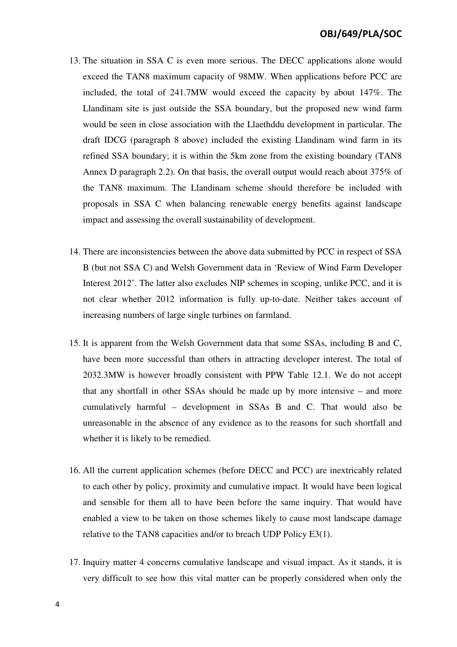- 13. The situation in SSA C is even more serious. The DECC applications alone would exceed the TAN8 maximum capacity of 98MW. When applications before PCC are included, the total of 241.7MW would exceed the capacity by about 147%. The Llandinam site is just outside the SSA boundary, but the proposed new wind farm would be seen in close association with the Llaethddu development in particular. The draft IDCG (paragraph 8 above) included the existing Llandinam wind farm in its refined SSA boundary; it is within the 5km zone from the existing boundary (TAN8 Annex D paragraph 2.2). On that basis, the overall output would reach about 375% of the TAN8 maximum. The Llandinam scheme should therefore be included with proposals in SSA C when balancing renewable energy benefits against landscape impact and assessing the overall sustainability of development.
- 14. There are inconsistencies between the above data submitted by PCC in respect of SSA B (but not SSA C) and Welsh Government data in 'Review of Wind Farm Developer Interest 2012'. The latter also excludes NIP schemes in scoping, unlike PCC, and it is not clear whether 2012 information is fully up-to-date. Neither takes account of increasing numbers of large single turbines on farmland.
- 15. It is apparent from the Welsh Government data that some SSAs, including B and C, have been more successful than others in attracting developer interest. The total of 2032.3MW is however broadly consistent with PPW Table 12.1. We do not accept that any shortfall in other SSAs should be made up by more intensive – and more cumulatively harmful – development in SSAs B and C. That would also be unreasonable in the absence of any evidence as to the reasons for such shortfall and whether it is likely to be remedied.
- 16. All the current application schemes (before DECC and PCC) are inextricably related to each other by policy, proximity and cumulative impact. It would have been logical and sensible for them all to have been before the same inquiry. That would have enabled a view to be taken on those schemes likely to cause most landscape damage relative to the TAN8 capacities and/or to breach UDP Policy E3(1).
- 17. Inquiry matter 4 concerns cumulative landscape and visual impact. As it stands, it is very difficult to see how this vital matter can be properly considered when only the